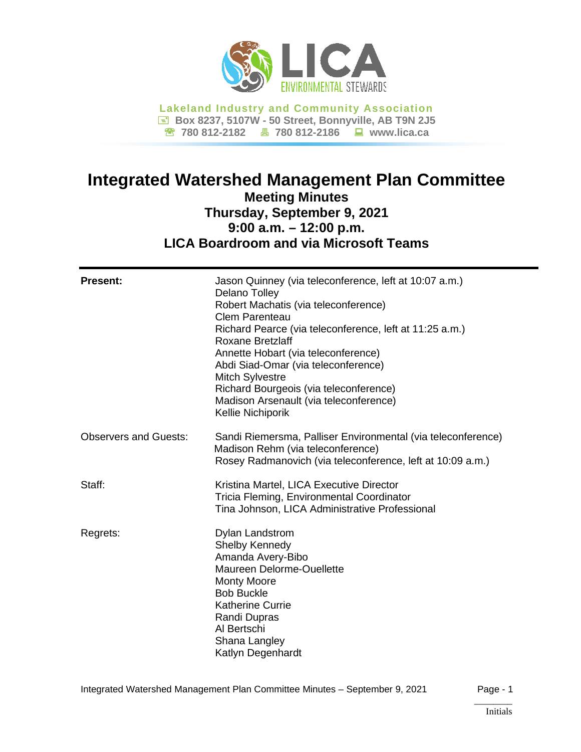

**Lakeland Industry and Community Association Box 8237, 5107W - 50 Street, Bonnyville, AB T9N 2J5 780 812-2182 780 812-2186 www.lica.ca**

# **Integrated Watershed Management Plan Committee Meeting Minutes Thursday, September 9, 2021 9:00 a.m. – 12:00 p.m. LICA Boardroom and via Microsoft Teams**

| <b>Present:</b>              | Jason Quinney (via teleconference, left at 10:07 a.m.)<br>Delano Tolley<br>Robert Machatis (via teleconference)<br><b>Clem Parenteau</b><br>Richard Pearce (via teleconference, left at 11:25 a.m.)<br><b>Roxane Bretzlaff</b><br>Annette Hobart (via teleconference)<br>Abdi Siad-Omar (via teleconference)<br><b>Mitch Sylvestre</b><br>Richard Bourgeois (via teleconference)<br>Madison Arsenault (via teleconference)<br>Kellie Nichiporik |
|------------------------------|-------------------------------------------------------------------------------------------------------------------------------------------------------------------------------------------------------------------------------------------------------------------------------------------------------------------------------------------------------------------------------------------------------------------------------------------------|
| <b>Observers and Guests:</b> | Sandi Riemersma, Palliser Environmental (via teleconference)<br>Madison Rehm (via teleconference)<br>Rosey Radmanovich (via teleconference, left at 10:09 a.m.)                                                                                                                                                                                                                                                                                 |
| Staff:                       | Kristina Martel, LICA Executive Director<br>Tricia Fleming, Environmental Coordinator<br>Tina Johnson, LICA Administrative Professional                                                                                                                                                                                                                                                                                                         |
| Regrets:                     | <b>Dylan Landstrom</b><br>Shelby Kennedy<br>Amanda Avery-Bibo<br>Maureen Delorme-Ouellette<br><b>Monty Moore</b><br><b>Bob Buckle</b><br><b>Katherine Currie</b><br>Randi Dupras<br>Al Bertschi<br>Shana Langley<br>Katlyn Degenhardt                                                                                                                                                                                                           |

# \_\_\_\_\_\_\_\_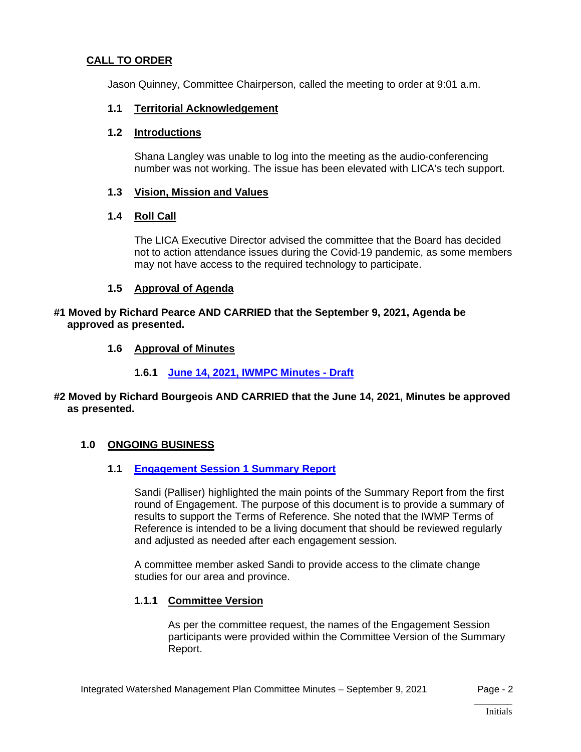# **CALL TO ORDER**

Jason Quinney, Committee Chairperson, called the meeting to order at 9:01 a.m.

#### **1.1 Territorial Acknowledgement**

#### **1.2 Introductions**

Shana Langley was unable to log into the meeting as the audio-conferencing number was not working. The issue has been elevated with LICA's tech support.

#### **1.3 Vision, Mission and Values**

#### **1.4 Roll Call**

The LICA Executive Director advised the committee that the Board has decided not to action attendance issues during the Covid-19 pandemic, as some members may not have access to the required technology to participate.

#### **1.5 Approval of Agenda**

#### **#1 Moved by Richard Pearce AND CARRIED that the September 9, 2021, Agenda be approved as presented.**

#### **1.6 Approval of Minutes**

#### **1.6.1 June 14, 2021, [IWMPC Minutes -](https://lica2.sharepoint.com/:b:/s/Office/EU0xSxcek01BuI8lmm3adtkB4VAiIG1H56C3CfLzovivgQ?e=h9tafb) [Draft](https://lica2.sharepoint.com/:b:/s/Office/EU0xSxcek01BuI8lmm3adtkB4VAiIG1H56C3CfLzovivgQ?e=h9tafb)**

#### **#2 Moved by Richard Bourgeois AND CARRIED that the June 14, 2021, Minutes be approved as presented.**

#### **1.0 ONGOING BUSINESS**

#### **1.1 [Engagement Session 1](https://lica2.sharepoint.com/:b:/s/Office/EZyQjrZCSZBCjv1Sh-smDo8B-VSvdW2hwOYb1VCI9S302A?e=l6e5Bz) Summary Report**

Sandi (Palliser) highlighted the main points of the Summary Report from the first round of Engagement. The purpose of this document is to provide a summary of results to support the Terms of Reference. She noted that the IWMP Terms of Reference is intended to be a living document that should be reviewed regularly and adjusted as needed after each engagement session.

A committee member asked Sandi to provide access to the climate change studies for our area and province.

#### **1.1.1 Committee Version**

As per the committee request, the names of the Engagement Session participants were provided within the Committee Version of the Summary Report.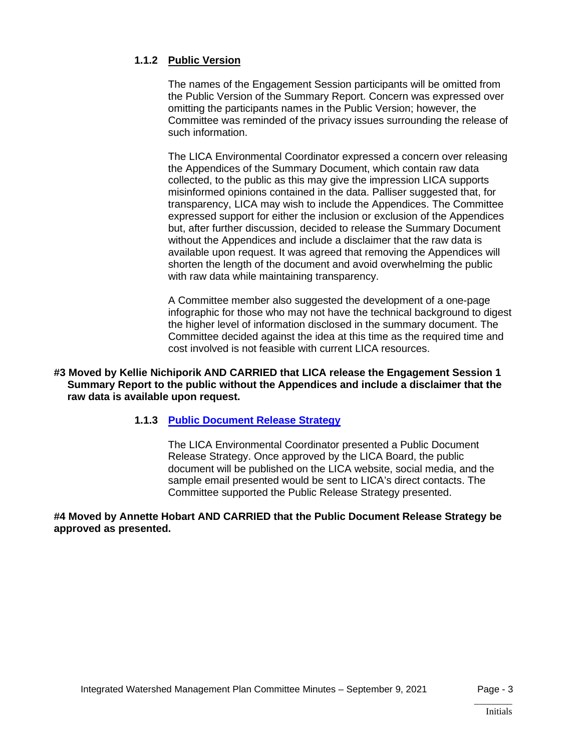# **1.1.2 Public Version**

The names of the Engagement Session participants will be omitted from the Public Version of the Summary Report. Concern was expressed over omitting the participants names in the Public Version; however, the Committee was reminded of the privacy issues surrounding the release of such information.

The LICA Environmental Coordinator expressed a concern over releasing the Appendices of the Summary Document, which contain raw data collected, to the public as this may give the impression LICA supports misinformed opinions contained in the data. Palliser suggested that, for transparency, LICA may wish to include the Appendices. The Committee expressed support for either the inclusion or exclusion of the Appendices but, after further discussion, decided to release the Summary Document without the Appendices and include a disclaimer that the raw data is available upon request. It was agreed that removing the Appendices will shorten the length of the document and avoid overwhelming the public with raw data while maintaining transparency.

A Committee member also suggested the development of a one-page infographic for those who may not have the technical background to digest the higher level of information disclosed in the summary document. The Committee decided against the idea at this time as the required time and cost involved is not feasible with current LICA resources.

#### **#3 Moved by Kellie Nichiporik AND CARRIED that LICA release the Engagement Session 1 Summary Report to the public without the Appendices and include a disclaimer that the raw data is available upon request.**

#### **1.1.3 [Public Document Release Strategy](https://lica2.sharepoint.com/:b:/s/Office/Efz-pqrfuv5DrzriNL94jZ8BdmtI8M8VcbtMheUmZCvd5g?e=5rTe9e)**

The LICA Environmental Coordinator presented a Public Document Release Strategy. Once approved by the LICA Board, the public document will be published on the LICA website, social media, and the sample email presented would be sent to LICA's direct contacts. The Committee supported the Public Release Strategy presented.

#### **#4 Moved by Annette Hobart AND CARRIED that the Public Document Release Strategy be approved as presented.**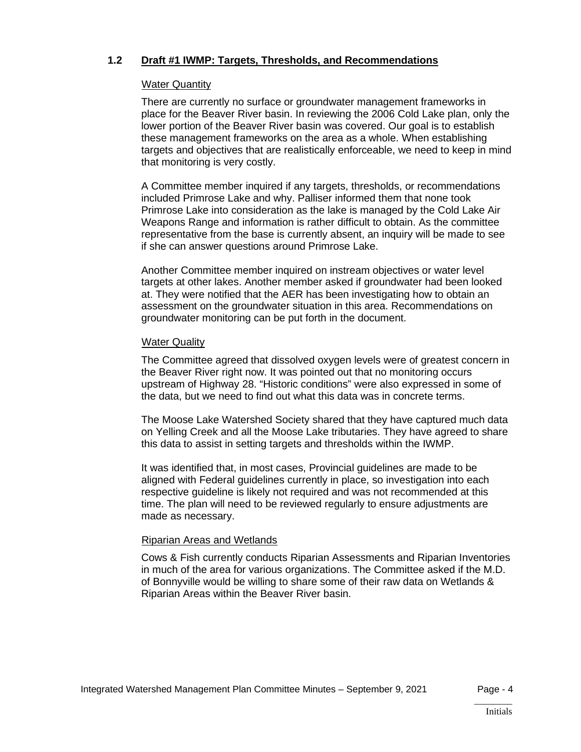## **1.2 Draft #1 IWMP: Targets, Thresholds, and Recommendations**

#### Water Quantity

There are currently no surface or groundwater management frameworks in place for the Beaver River basin. In reviewing the 2006 Cold Lake plan, only the lower portion of the Beaver River basin was covered. Our goal is to establish these management frameworks on the area as a whole. When establishing targets and objectives that are realistically enforceable, we need to keep in mind that monitoring is very costly.

A Committee member inquired if any targets, thresholds, or recommendations included Primrose Lake and why. Palliser informed them that none took Primrose Lake into consideration as the lake is managed by the Cold Lake Air Weapons Range and information is rather difficult to obtain. As the committee representative from the base is currently absent, an inquiry will be made to see if she can answer questions around Primrose Lake.

Another Committee member inquired on instream objectives or water level targets at other lakes. Another member asked if groundwater had been looked at. They were notified that the AER has been investigating how to obtain an assessment on the groundwater situation in this area. Recommendations on groundwater monitoring can be put forth in the document.

#### Water Quality

The Committee agreed that dissolved oxygen levels were of greatest concern in the Beaver River right now. It was pointed out that no monitoring occurs upstream of Highway 28. "Historic conditions" were also expressed in some of the data, but we need to find out what this data was in concrete terms.

The Moose Lake Watershed Society shared that they have captured much data on Yelling Creek and all the Moose Lake tributaries. They have agreed to share this data to assist in setting targets and thresholds within the IWMP.

It was identified that, in most cases, Provincial guidelines are made to be aligned with Federal guidelines currently in place, so investigation into each respective guideline is likely not required and was not recommended at this time. The plan will need to be reviewed regularly to ensure adjustments are made as necessary.

#### Riparian Areas and Wetlands

Cows & Fish currently conducts Riparian Assessments and Riparian Inventories in much of the area for various organizations. The Committee asked if the M.D. of Bonnyville would be willing to share some of their raw data on Wetlands & Riparian Areas within the Beaver River basin.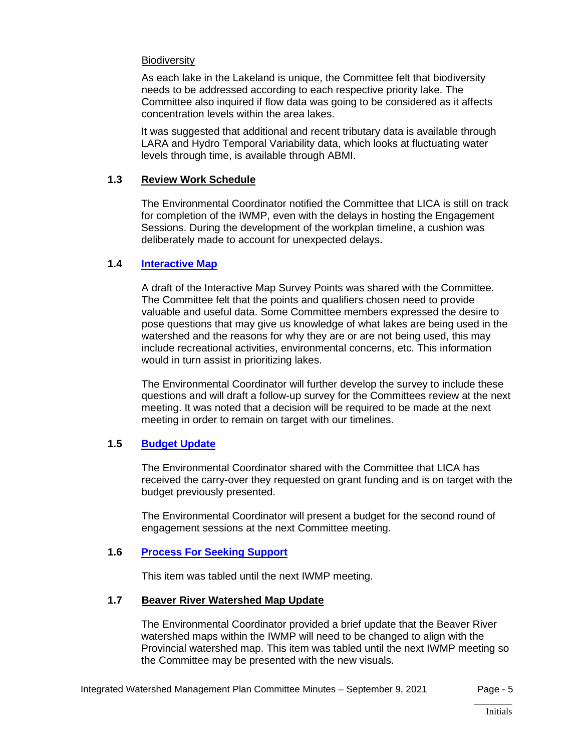#### **Biodiversity**

As each lake in the Lakeland is unique, the Committee felt that biodiversity needs to be addressed according to each respective priority lake. The Committee also inquired if flow data was going to be considered as it affects concentration levels within the area lakes.

It was suggested that additional and recent tributary data is available through LARA and Hydro Temporal Variability data, which looks at fluctuating water levels through time, is available through ABMI.

#### **1.3 Review Work Schedule**

The Environmental Coordinator notified the Committee that LICA is still on track for completion of the IWMP, even with the delays in hosting the Engagement Sessions. During the development of the workplan timeline, a cushion was deliberately made to account for unexpected delays.

#### **1.4 [Interactive Map](https://lica2.sharepoint.com/:b:/s/Office/EfE8wknef5tFoXKw_h5nbUQB3UlOqjE8h-FQSnwBtSGflg?e=q7qPST)**

A draft of the Interactive Map Survey Points was shared with the Committee. The Committee felt that the points and qualifiers chosen need to provide valuable and useful data. Some Committee members expressed the desire to pose questions that may give us knowledge of what lakes are being used in the watershed and the reasons for why they are or are not being used, this may include recreational activities, environmental concerns, etc. This information would in turn assist in prioritizing lakes.

The Environmental Coordinator will further develop the survey to include these questions and will draft a follow-up survey for the Committees review at the next meeting. It was noted that a decision will be required to be made at the next meeting in order to remain on target with our timelines.

#### **1.5 [Budget Update](https://lica2.sharepoint.com/:b:/s/Office/EU3stSo3ogdBoaINUig9HlkBrQJrtLowbYR4k5Fh9YAQ3A?e=l8hieT)**

The Environmental Coordinator shared with the Committee that LICA has received the carry-over they requested on grant funding and is on target with the budget previously presented.

The Environmental Coordinator will present a budget for the second round of engagement sessions at the next Committee meeting.

#### **1.6 [Process For Seeking Support](https://lica2.sharepoint.com/:b:/s/Office/ERwb9Yp1MGtPkwopXGJa4k8BOIQMYSA5fEoxPUstgFwMYw?e=ktI6wL)**

This item was tabled until the next IWMP meeting.

#### **1.7 Beaver River Watershed Map Update**

The Environmental Coordinator provided a brief update that the Beaver River watershed maps within the IWMP will need to be changed to align with the Provincial watershed map. This item was tabled until the next IWMP meeting so the Committee may be presented with the new visuals.